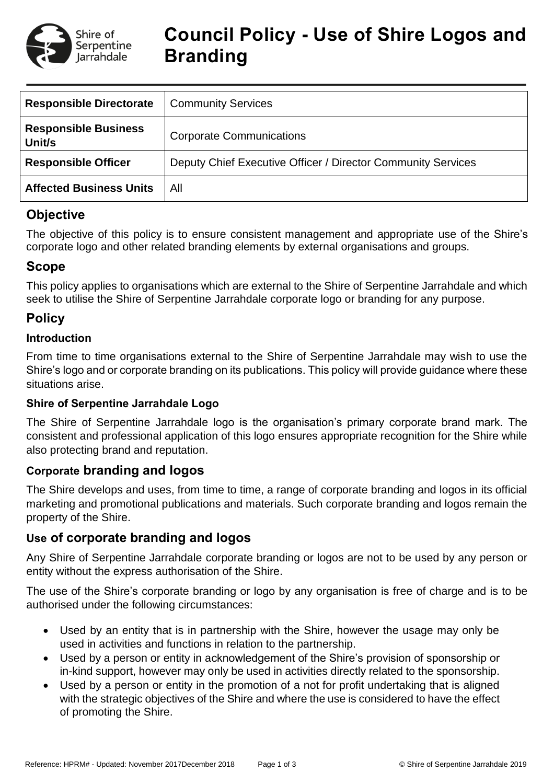

# **Council Policy - Use of Shire Logos and Branding**

| <b>Responsible Directorate</b>        | <b>Community Services</b>                                    |
|---------------------------------------|--------------------------------------------------------------|
| <b>Responsible Business</b><br>Unit/s | <b>Corporate Communications</b>                              |
| <b>Responsible Officer</b>            | Deputy Chief Executive Officer / Director Community Services |
| <b>Affected Business Units</b>        | All                                                          |

# **Objective**

The objective of this policy is to ensure consistent management and appropriate use of the Shire's corporate logo and other related branding elements by external organisations and groups.

# **Scope**

This policy applies to organisations which are external to the Shire of Serpentine Jarrahdale and which seek to utilise the Shire of Serpentine Jarrahdale corporate logo or branding for any purpose.

# **Policy**

#### **Introduction**

From time to time organisations external to the Shire of Serpentine Jarrahdale may wish to use the Shire's logo and or corporate branding on its publications. This policy will provide guidance where these situations arise.

## **Shire of Serpentine Jarrahdale Logo**

The Shire of Serpentine Jarrahdale logo is the organisation's primary corporate brand mark. The consistent and professional application of this logo ensures appropriate recognition for the Shire while also protecting brand and reputation.

## **Corporate branding and logos**

The Shire develops and uses, from time to time, a range of corporate branding and logos in its official marketing and promotional publications and materials. Such corporate branding and logos remain the property of the Shire.

## **Use of corporate branding and logos**

Any Shire of Serpentine Jarrahdale corporate branding or logos are not to be used by any person or entity without the express authorisation of the Shire.

The use of the Shire's corporate branding or logo by any organisation is free of charge and is to be authorised under the following circumstances:

- Used by an entity that is in partnership with the Shire, however the usage may only be used in activities and functions in relation to the partnership.
- Used by a person or entity in acknowledgement of the Shire's provision of sponsorship or in-kind support, however may only be used in activities directly related to the sponsorship.
- Used by a person or entity in the promotion of a not for profit undertaking that is aligned with the strategic objectives of the Shire and where the use is considered to have the effect of promoting the Shire.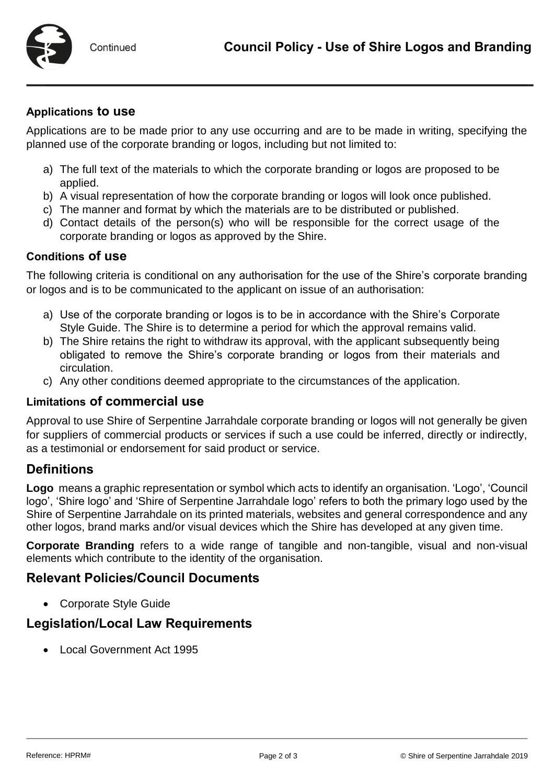

#### **Applications to use**

Applications are to be made prior to any use occurring and are to be made in writing, specifying the planned use of the corporate branding or logos, including but not limited to:

- a) The full text of the materials to which the corporate branding or logos are proposed to be applied.
- b) A visual representation of how the corporate branding or logos will look once published.
- c) The manner and format by which the materials are to be distributed or published.
- d) Contact details of the person(s) who will be responsible for the correct usage of the corporate branding or logos as approved by the Shire.

#### **Conditions of use**

The following criteria is conditional on any authorisation for the use of the Shire's corporate branding or logos and is to be communicated to the applicant on issue of an authorisation:

- a) Use of the corporate branding or logos is to be in accordance with the Shire's Corporate Style Guide. The Shire is to determine a period for which the approval remains valid.
- b) The Shire retains the right to withdraw its approval, with the applicant subsequently being obligated to remove the Shire's corporate branding or logos from their materials and circulation.
- c) Any other conditions deemed appropriate to the circumstances of the application.

#### **Limitations of commercial use**

Approval to use Shire of Serpentine Jarrahdale corporate branding or logos will not generally be given for suppliers of commercial products or services if such a use could be inferred, directly or indirectly, as a testimonial or endorsement for said product or service.

## **Definitions**

**Logo** means a graphic representation or symbol which acts to identify an organisation. 'Logo', 'Council logo', 'Shire logo' and 'Shire of Serpentine Jarrahdale logo' refers to both the primary logo used by the Shire of Serpentine Jarrahdale on its printed materials, websites and general correspondence and any other logos, brand marks and/or visual devices which the Shire has developed at any given time.

**Corporate Branding** refers to a wide range of tangible and non-tangible, visual and non-visual elements which contribute to the identity of the organisation.

## **Relevant Policies/Council Documents**

Corporate Style Guide

## **Legislation/Local Law Requirements**

Local Government Act 1995